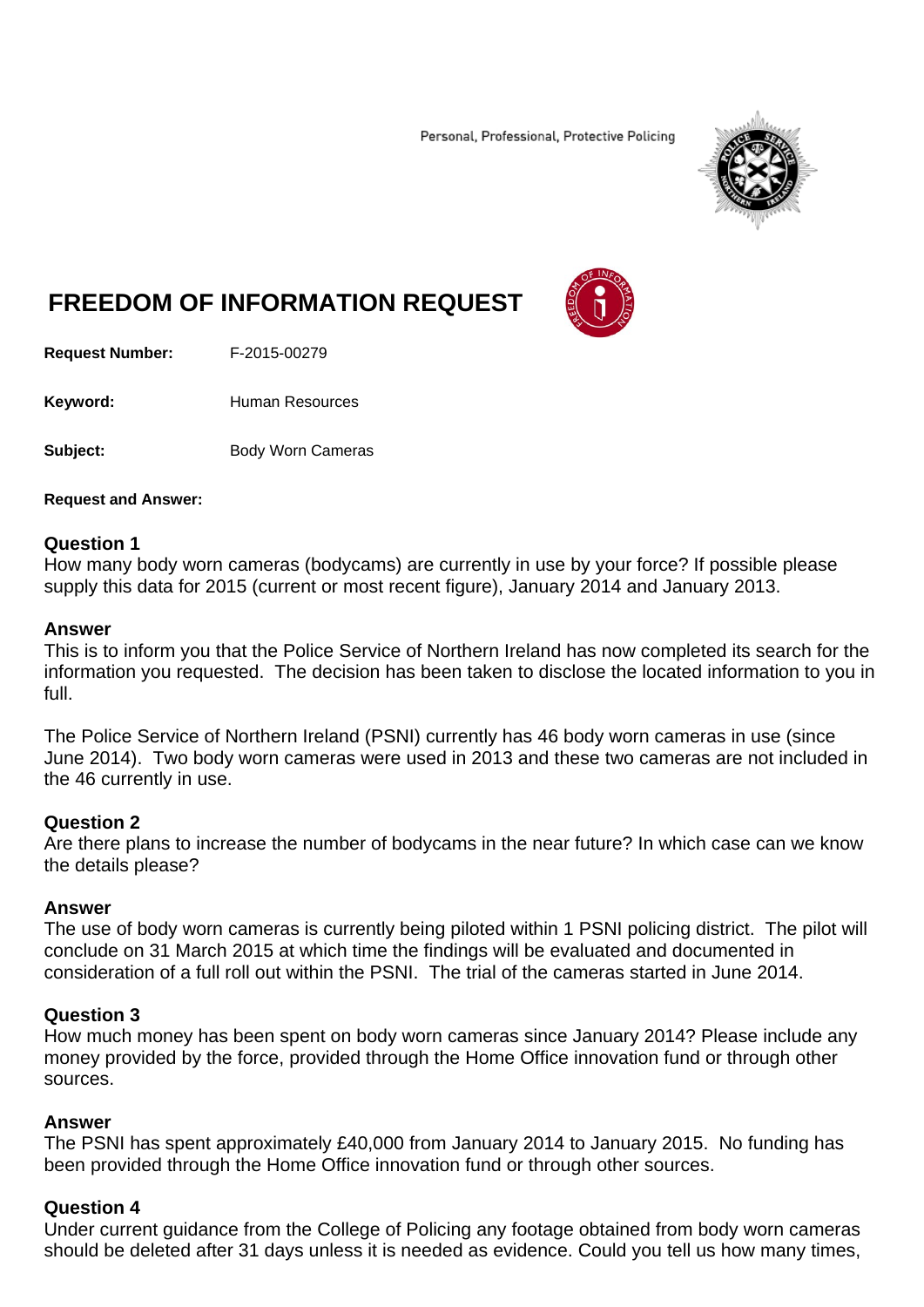Personal, Professional, Protective Policing



# **FREEDOM OF INFORMATION REQUEST**

**Request Number:** F-2015-00279

Keyword: **Human Resources** 

**Subject:** Body Worn Cameras

# **Request and Answer:**

# **Question 1**

How many body worn cameras (bodycams) are currently in use by your force? If possible please supply this data for 2015 (current or most recent figure), January 2014 and January 2013.

# **Answer**

This is to inform you that the Police Service of Northern Ireland has now completed its search for the information you requested. The decision has been taken to disclose the located information to you in full.

The Police Service of Northern Ireland (PSNI) currently has 46 body worn cameras in use (since June 2014). Two body worn cameras were used in 2013 and these two cameras are not included in the 46 currently in use.

# **Question 2**

Are there plans to increase the number of bodycams in the near future? In which case can we know the details please?

# **Answer**

The use of body worn cameras is currently being piloted within 1 PSNI policing district. The pilot will conclude on 31 March 2015 at which time the findings will be evaluated and documented in consideration of a full roll out within the PSNI. The trial of the cameras started in June 2014.

# **Question 3**

How much money has been spent on body worn cameras since January 2014? Please include any money provided by the force, provided through the Home Office innovation fund or through other sources.

# **Answer**

The PSNI has spent approximately £40,000 from January 2014 to January 2015. No funding has been provided through the Home Office innovation fund or through other sources.

# **Question 4**

Under current guidance from the College of Policing any footage obtained from body worn cameras should be deleted after 31 days unless it is needed as evidence. Could you tell us how many times,